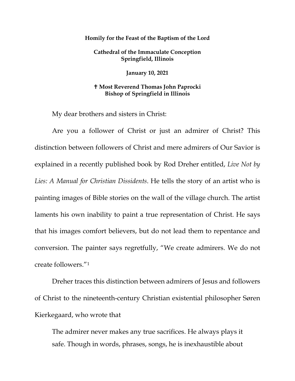## **Homily for the Feast of the Baptism of the Lord**

**Cathedral of the Immaculate Conception Springfield, Illinois**

**January 10, 2021**

## **Most Reverend Thomas John Paprocki Bishop of Springfield in Illinois**

My dear brothers and sisters in Christ:

Are you a follower of Christ or just an admirer of Christ? This distinction between followers of Christ and mere admirers of Our Savior is explained in a recently published book by Rod Dreher entitled, *Live Not by Lies: A Manual for Christian Dissidents*. He tells the story of an artist who is painting images of Bible stories on the wall of the village church. The artist laments his own inability to paint a true representation of Christ. He says that his images comfort believers, but do not lead them to repentance and conversion. The painter says regretfully, "We create admirers. We do not create followers."[1](#page-6-0)

Dreher traces this distinction between admirers of Jesus and followers of Christ to the nineteenth-century Christian existential philosopher Søren Kierkegaard, who wrote that

The admirer never makes any true sacrifices. He always plays it safe. Though in words, phrases, songs, he is inexhaustible about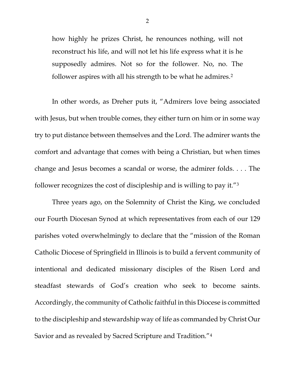how highly he prizes Christ, he renounces nothing, will not reconstruct his life, and will not let his life express what it is he supposedly admires. Not so for the follower. No, no. The follower aspires with all his strength to be what he admires.<sup>[2](#page-6-1)</sup>

In other words, as Dreher puts it, "Admirers love being associated with Jesus, but when trouble comes, they either turn on him or in some way try to put distance between themselves and the Lord. The admirer wants the comfort and advantage that comes with being a Christian, but when times change and Jesus becomes a scandal or worse, the admirer folds. . . . The follower recognizes the cost of discipleship and is willing to pay it."[3](#page-6-2)

Three years ago, on the Solemnity of Christ the King, we concluded our Fourth Diocesan Synod at which representatives from each of our 129 parishes voted overwhelmingly to declare that the "mission of the Roman Catholic Diocese of Springfield in Illinois is to build a fervent community of intentional and dedicated missionary disciples of the Risen Lord and steadfast stewards of God's creation who seek to become saints. Accordingly, the community of Catholic faithful in this Diocese is committed to the discipleship and stewardship way of life as commanded by Christ Our Savior and as revealed by Sacred Scripture and Tradition."[4](#page-6-3)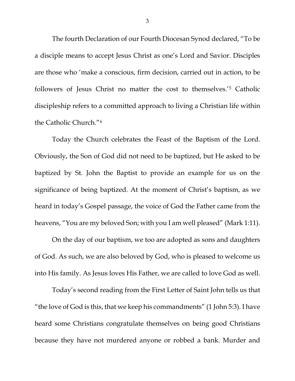The fourth Declaration of our Fourth Diocesan Synod declared, "To be a disciple means to accept Jesus Christ as one's Lord and Savior. Disciples are those who 'make a conscious, firm decision, carried out in action, to be followers of Jesus Christ no matter the cost to themselves.'[5](#page-6-4) Catholic discipleship refers to a committed approach to living a Christian life within the Catholic Church."[6](#page-6-5)

Today the Church celebrates the Feast of the Baptism of the Lord. Obviously, the Son of God did not need to be baptized, but He asked to be baptized by St. John the Baptist to provide an example for us on the significance of being baptized. At the moment of Christ's baptism, as we heard in today's Gospel passage, the voice of God the Father came from the heavens, "You are my beloved Son; with you I am well pleased" (Mark 1:11).

On the day of our baptism, we too are adopted as sons and daughters of God. As such, we are also beloved by God, who is pleased to welcome us into His family. As Jesus loves His Father, we are called to love God as well.

Today's second reading from the First Letter of Saint John tells us that "the love of God is this, that we keep his commandments" (1 John 5:3). I have heard some Christians congratulate themselves on being good Christians because they have not murdered anyone or robbed a bank. Murder and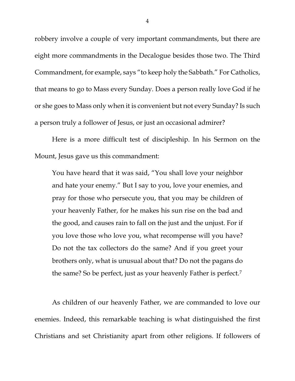robbery involve a couple of very important commandments, but there are eight more commandments in the Decalogue besides those two. The Third Commandment, for example, says "to keep holy the Sabbath." For Catholics, that means to go to Mass every Sunday. Does a person really love God if he or she goes to Mass only when it is convenient but not every Sunday? Is such a person truly a follower of Jesus, or just an occasional admirer?

Here is a more difficult test of discipleship. In his Sermon on the Mount, Jesus gave us this commandment:

You have heard that it was said, "You shall love your neighbor and hate your enemy." But I say to you, love your enemies, and pray for those who persecute you, that you may be children of your heavenly Father, for he makes his sun rise on the bad and the good, and causes rain to fall on the just and the unjust. For if you love those who love you, what recompense will you have? Do not the tax collectors do the same? And if you greet your brothers only, what is unusual about that? Do not the pagans do the same? So be perfect, just as your heavenly Father is perfect.[7](#page-6-6)

As children of our heavenly Father, we are commanded to love our enemies. Indeed, this remarkable teaching is what distinguished the first Christians and set Christianity apart from other religions. If followers of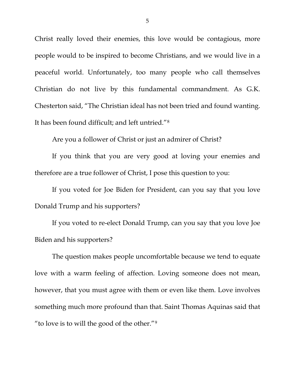Christ really loved their enemies, this love would be contagious, more people would to be inspired to become Christians, and we would live in a peaceful world. Unfortunately, too many people who call themselves Christian do not live by this fundamental commandment. As G.K. Chesterton said, "The Christian ideal has not been tried and found wanting. It has been found difficult; and left untried."[8](#page-6-7)

Are you a follower of Christ or just an admirer of Christ?

If you think that you are very good at loving your enemies and therefore are a true follower of Christ, I pose this question to you:

If you voted for Joe Biden for President, can you say that you love Donald Trump and his supporters?

If you voted to re-elect Donald Trump, can you say that you love Joe Biden and his supporters?

The question makes people uncomfortable because we tend to equate love with a warm feeling of affection. Loving someone does not mean, however, that you must agree with them or even like them. Love involves something much more profound than that. Saint Thomas Aquinas said that "to love is to will the good of the other."[9](#page-6-8)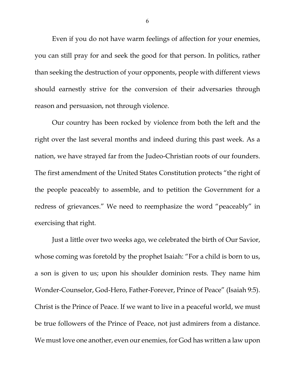Even if you do not have warm feelings of affection for your enemies, you can still pray for and seek the good for that person. In politics, rather than seeking the destruction of your opponents, people with different views should earnestly strive for the conversion of their adversaries through reason and persuasion, not through violence.

Our country has been rocked by violence from both the left and the right over the last several months and indeed during this past week. As a nation, we have strayed far from the Judeo-Christian roots of our founders. The first amendment of the United States Constitution protects "the right of the people peaceably to assemble, and to petition the Government for a redress of grievances." We need to reemphasize the word "peaceably" in exercising that right.

Just a little over two weeks ago, we celebrated the birth of Our Savior, whose coming was foretold by the prophet Isaiah: "For a child is born to us, a son is given to us; upon his shoulder dominion rests. They name him Wonder-Counselor, God-Hero, Father-Forever, Prince of Peace" (Isaiah 9:5). Christ is the Prince of Peace. If we want to live in a peaceful world, we must be true followers of the Prince of Peace, not just admirers from a distance. We must love one another, even our enemies, for God has written a law upon

6